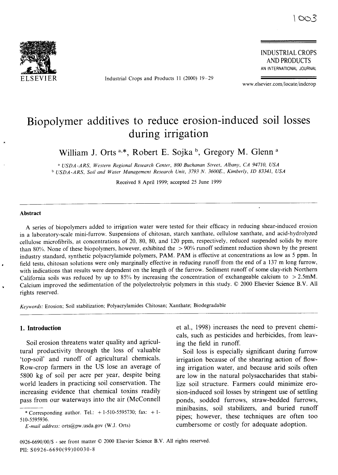

Industrial Crops and Products 11 (2000) 19-29

INDUSTRIAL CROPS AND PRODUCTS AN INTERNATIONAL JOURNAL

www.elsevier.com/locate/indcrop

# Biopolymer additives to reduce erosion-induced soil losses during irrigation

William J. Orts<sup>a,\*</sup>, Robert E. Sojka<sup>b</sup>, Gregory M. Glenn<sup>a</sup>

*a USDA-ARS, Western Regional Research Center, 800 Buchanan Street, Albany, CA 94710, USA* h *USDA-ARS, Soil and Water Management Research Unit, 3793 N. 3600E., Kimberly, ID 83341, USA*

Received 8 April 1999; accepted 25 June 1999

#### **Abstract**

A series of biopolymers added to irrigation water were tested for their efficacy in reducing shear-induced erosion in a laboratory-scale mini-furrow. Suspensions of chitosan, starch xanthate, cellulose xanthate, and acid-hydrolyzed cellulose microfibrils, at concentrations of 20, 80, 80, and 120 ppm, respectively, reduced suspended solids by more than 80%. None of these biopolymers, however, exhibited the > 90% runoff sediment reduction shown by the present industry standard, synthetic polyacrylamide polymers, PAM. PAM is effective at concentrations as low as 5 ppm. In field tests, chitosan solutions were only marginally effective in reducing runoff from the end of a 137 m long furrow, with indications that results were dependent on the length of the furrow. Sediment runoff of some clay-rich Northern California soils was reduced by up to 85% by increasing the concentration of exchangeable calcium to > 2.5mM. Calcium improved the sedimentation of the polyelectrolytic polymers in this study. © 2000 Elsevier Science B.V. All rights reserved.

*Keywords:* Erosion; Soil stabilization; Polyacrylamides Chitosan; Xanthate; Biodegradable

## **1. Introduction**

Soil erosion threatens water quality and agricultural productivity through the loss of valuable `top-soil' and runoff of agricultural chemicals. Row-crop farmers in the US lose an average of 5800 kg of soil per acre per year, despite being world leaders in practicing soil conservation. The increasing evidence that chemical toxins readily pass from our waterways into the air (McConnell

et al., 1998) increases the need to prevent chemicals, such as pesticides and herbicides, from leaving the field in runoff.

Soil loss is especially significant during furrow irrigation because of the shearing action of flowing irrigation water, and because arid soils often are low in the natural polysaccharides that stabilize soil structure. Farmers could minimize erosion-induced soil losses by stringent use of settling ponds, sodded furrows, straw-bedded furrows, minibasins, soil stabilizers, and buried runoff pipes; however, these techniques are often too cumbersome or costly for adequate adoption.

<sup>\*</sup> Corresponding author. Tel.:  $+1-510-5595730$ ; fax:  $+1-$ 510-5595936.

*E-mail address:* orts@pw.usda.gov (W.I. Orts)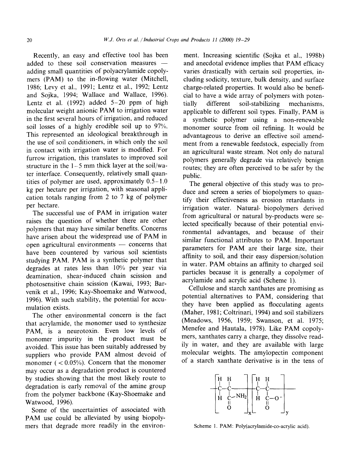Recently, an easy and effective tool has been added to these soil conservation measures adding small quantities of polyacrylamide copolymers (PAM) to the in-flowing water (Mitchell, 1986; Levy et al., 1991; Lentz et al., 1992; Lentz and Sojka, 1994; Wallace and Wallace, 1996). Lentz et al.  $(1992)$  added  $5-20$  ppm of high molecular weight anionic PAM to irrigation water in the first several hours of irrigation, and reduced soil losses of a highly erodible soil up to 97%. This represented an ideological breakthrough in the use of soil conditioners, in which only the soil in contact with irrigation water is modified. For furrow irrigation, this translates to improved soil structure in the 1-5 mm thick layer at the soil/water interface. Consequently, relatively small quantities of polymer are used, approximately 0.5-1.0 kg per hectare per irrigation, with seasonal application totals ranging from 2 to 7 kg of polymer per hectare.

The successful use of PAM in irrigation water raises the question of whether there are other polymers that may have similar benefits. Concerns have arisen about the widespread use of PAM in open agricultural environments — concerns that have been countered by various soil scientists studying PAM. PAM is a synthetic polymer that degrades at rates less than 10°/0 per year via deamination, shear-induced chain scission and photosensitive chain scission (Kawai, 1993; Barvenik et al., 1996; Kay-Shoemake and Watwood, 1996). With such stability, the potential for accumulation exists.

The other environmental concern is the fact that acrylamide, the monomer used to synthesize PAM, is a neurotoxin. Even low levels of monomer impurity in the product must be avoided. This issue has been suitably addressed by suppliers who provide PAM almost devoid of monomer  $( $0.05\%$ ). Concern that the monomer$ may occur as a degradation product is countered by studies showing that the most likely route to degradation is early removal of the amine group from the polymer backbone (Kay-Shoemake and Watwood, 1996).

Some of the uncertainties of associated with PAM use could be alleviated by using biopolymers that degrade more readily in the environ-

ment. Increasing scientific (Sojka et al., 1998b) and anecdotal evidence implies that PAM efficacy varies drastically with certain soil properties, including sodicity, texture, bulk density, and surface charge-related properties. It would also be beneficial to have a wide array of polymers with potentially different soil-stabilizing mechanisms, applicable to different soil types. Finally, PAM is a synthetic polymer using a non-renewable monomer source from oil refining. It would be advantageous to derive an effective soil amendment from a renewable feedstock, especially from an agricultural waste stream. Not only do natural polymers generally degrade via relatively benign routes; they are often perceived to be safer by the public.

The general objective of this study was to produce and screen a series of biopolymers to quantify their effectiveness as erosion retardants in irrigation water. Natural biopolymers derived from agricultural or natural by-products were selected specifically because of their potential environmental advantages, and because of their similar functional attributes to PAM. Important parameters for PAM are their large size, their affinity to soil, and their easy dispersion/solution in water. PAM obtains an affinity to charged soil particles because it is generally a copolymer of acrylamide and acrylic acid (Scheme I).

Cellulose and starch xanthates are promising as potential alternatives to PAM, considering that they have been applied as flocculating agents (Maher, 1981; Coltrinari, 1994) and soil stabilizers (Meadows, 1956, 1959; Swanson, et al. 1975; Menefee and Hautala, 1978). Like PAM copolymers, xanthates carry a charge, they dissolve readily in water, and they are available with large molecular weights. The amylopectin component of a starch xanthate derivative is in the tens of



Scheme I. PAM: Poly(acrylamide-co-acrylic acid).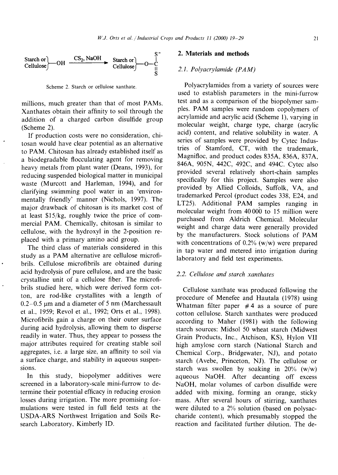

Scheme 2. Starch or cellulose xanthate.

millions, much greater than that of most PAMs. Xanthates obtain their affinity to soil through the addition of a charged carbon disulfide group (Scheme 2).

If production costs were no consideration, chitosan would have clear potential as an alternative to PAM. Chitosan has already established itself as a biodegradable flocculating agent for removing heavy metals from plant water (Deans, 1993), for reducing suspended biological matter in municipal waste (Murcott and Harleman, 1994), and for clarifying swimming pool water in an 'environmentally friendly' manner (Nichols, 1997). The major drawback of chitosan is its market cost of at least \$15/kg, roughly twice the price of commercial PAM. Chemically, chitosan is similar to cellulose, with the hydroxyl in the 2-position replaced with a primary amino acid group.

The third class of materials considered in this study as a PAM alternative are cellulose microfibrils. Cellulose microfibrils are obtained during acid hydrolysis of pure cellulose, and are the basic crystalline unit of a cellulose fiber. The microfibrils studied here, which were derived form cotton, are rod-like crystallites with a length of  $0.2-0.5$  µm and a diameter of 5 nm (Marchessault et al., 1959; Revol et al., 1992; Orts et al., 1998). Microfibrils gain a charge on their outer surface during acid hydrolysis, allowing them to disperse readily in water. Thus, they appear to possess the major attributes required for creating stable soil aggregates, i.e. a large size, an affinity to soil via a surface charge, and stability in aqueous suspensions.

In this study, biopolymer additives were screened in a laboratory-scale mini-furrow to determine their potential efficacy in reducing erosion losses during irrigation. The more promising formulations were tested in full field tests at the USDA-ARS Northwest Irrigation and Soils Research Laboratory, Kimberly ID.

## 2. **Materials and methods**

## *2.1. Polyacrylamide (PAM)*

Polyacrylamides from a variety of sources were used to establish parameters in the mini-furrow test and as a comparison of the biopolymer samples. PAM samples were random copolymers of acrylamide and acrylic acid (Scheme 1), varying in molecular weight, charge type, charge (acrylic acid) content, and relative solubility in water. A series of samples were provided by Cytec Industries of Stamford, CT, with the trademark, Magnifloc, and product codes 835A, 836A, 837A, 846A, 905N, 442C, 492C, and 494C. Cytec also provided several relatively short-chain samples specifically for this project. Samples were also provided by Allied Colloids, Suffolk, VA, and trademarked Percol (product codes 338, E24, and LT25). Additional PAM samples ranging in molecular weight from 40 000 to 15 million were purchased from Aldrich Chemical. Molecular weight and charge data were generally provided by the manufacturers. Stock solutions of PAM with concentrations of  $0.2\%$  (w/w) were prepared in tap water and metered into irrigation during laboratory and field test experiments.

#### *2.2. Cellulose and starch xanthates*

Cellulose xanthate was produced following the procedure of Menefee and Hautala (1978) using Whatman filter paper  $#4$  as a source of pure cotton cellulose. Starch xanthates were produced according to Maher (1981) with the following starch sources: Midsol 50 wheat starch (Midwest Grain Products, Inc., Atchison, KS), Hylon VII high amylose corn starch (National Starch and Chemical Corp., Bridgewater, NJ), and potato starch (Avebe, Princeton, NJ). The cellulose or starch was swollen by soaking in  $20\%$  (w/w) aqueous NaOH. After decanting off excess NaOH, molar volumes of carbon disulfide were added with mixing, forming an orange, sticky mass. After several hours of stirring, xanthates were diluted to a 2% solution (based on polysaccharide content), which presumably stopped the reaction and facilitated further dilution. The de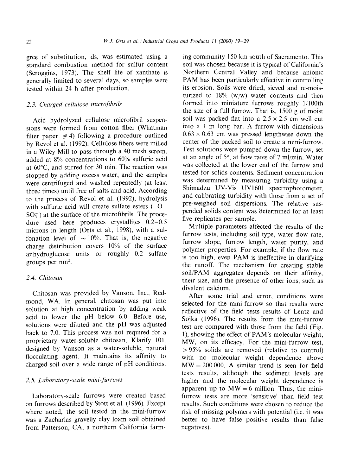gree of substitution, ds, was estimated using a standard combustion method for sulfur content (Scroggins, 1973). The shelf life of xanthate is generally limited to several days, so samples were tested within 24 h after production.

## *2.3. Charged cellulose microfibrils*

Acid hydrolyzed cellulose microfibril suspensions were formed from cotton fiber (Whatman filter paper  $# 4$ ) following a procedure outlined by Revol et al. (1992). Cellulose fibers were milled in a Wiley Mill to pass through a 40 mesh screen, added at  $8\%$  concentrations to  $60\%$  sulfuric acid at 60°C, and stirred for 30 min. The reaction was stopped by adding excess water, and the samples were centrifuged and washed repeatedly (at least three times) until free of salts and acid. According to the process of Revol et al. (1992), hydrolysis with sulfuric acid will create sulfate esters  $(-O SO<sub>3</sub>$ ) at the surface of the microfibrils. The procedure used here produces crystallites 0.2-0.5 microns in length (Orts et al., 1998), with a sulfonation level of  $\sim 10\%$ . That is, the negative charge distribution covers  $10\%$  of the surface anhydroglucose units or roughly 0.2 sulfate groups per  $nm<sup>2</sup>$ .

#### *2.4. Chitosan*

Chitosan was provided by Vanson, Inc.. Redmond, WA. In general, chitosan was put into solution at high concentration by adding weak acid to lower the pH below 6.0. Before use, solutions were diluted and the pH was adjusted back to 7.0. This process was not required for a proprietary water-soluble chitosan, Klarify 101, designed by Vanson as a water-soluble, natural flocculating agent. It maintains its affinity to charged soil over a wide range of pH conditions.

## *2.5. Laboratory-scale mini furrows*

Laboratory-scale furrows were created based on furrows described by Stott et al. (1996). Except where noted, the soil tested in the mini-furrow was a Zacharias gravelly clay loam soil obtained from Patterson, CA, a northern California farming community 150 km south of Sacramento. This soil was chosen because it is typical of California's Northern Central Valley and because anionic PAM has been particularly effective in controlling its erosion. Soils were dried, sieved and re-moisturized to  $18\%$  (w/w) water contents and then formed into miniature furrows roughly 1/100th the size of a full furrow. That is, 1500 g of moist soil was packed flat into a  $2.5 \times 2.5$  cm well cut into a 1 m long bar. A furrow with dimensions  $0.63 \times 0.63$  cm was pressed lengthwise down the center of the packed soil to create a mini-furrow. Test solutions were pumped down the furrow, set at an angle of 5°, at flow rates of 7 ml/min. Water was collected at the lower end of the furrow and tested for solids contents. Sediment concentration was determined by measuring turbidity using a Shimadzu UV-Vis UV1601 spectrophotometer, and calibrating turbidity with those from a set of pre-weighed soil dispersions. The relative suspended solids content was determined for at least five replicates per sample.

Multiple parameters affected the results of the furrow tests, including soil type, water flow rate, furrow slope, furrow length, water purity, and polymer properties. For example, if the flow rate is too high, even PAM is ineffective in clarifying the runoff. The mechanism for creating stable soil/PAM aggregates depends on their affinity, their size, and the presence of other ions, such as divalent calcium.

After some trial and error, conditions were selected for the mini-furrow so that results were reflective of the field tests results of Lentz and Sojka (1996). The results from the mini-furrow test are compared with those from the field (Fig. 1), showing the effect of PAM's molecular weight, MW, on its efficacy. For the mini-furrow test,  $> 95\%$  solids are removed (relative to control) with no molecular weight dependence above  $MW = 200000$ . A similar trend is seen for field tests results, although the sediment levels are higher and the molecular weight dependence is apparent up to  $MW = 6$  million. Thus, the minifurrow tests are more 'sensitive' than field test results. Such conditions were chosen to reduce the risk of missing polymers with potential (i.e. it was better to have false positive results than false negatives).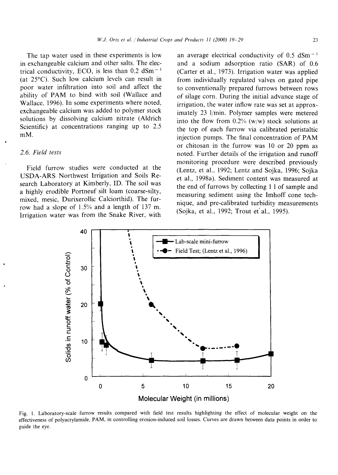The tap water used in these experiments is low in exchangeable calcium and other salts. The electrical conductivity, ECO, is less than  $0.2$  dSm<sup> $-1$ </sup> (at 25°C). Such low calcium levels can result in poor water infiltration into soil and affect the ability of PAM to bind with soil (Wallace and Wallace, 1996). In some experiments where noted, exchangeable calcium was added to polymer stock solutions by dissolving calcium nitrate (Aldrich Scientific) at concentrations ranging up to 2.5 mM.

## *2.6. Field tests*

Field furrow studies were conducted at the USDA-ARS Northwest Irrigation and Soils Research Laboratory at Kimberly, ID. The soil was a highly erodible Portneuf silt loam (coarse-silty, mixed, mesic, Durixerollic Calciorthid). The furrow had a slope of 1.5% and a length of 137 m. Irrigation water was from the Snake River, with an average electrical conductivity of  $0.5$  dSm<sup>-1</sup> and a sodium adsorption ratio (SAR) of 0.6 (Carter et al., 1973). Irrigation water was applied from individually regulated valves on gated pipe to conventionally prepared furrows between rows of silage corn. During the initial advance stage of irrigation, the water inflow rate was set at approximately 23 1/min. Polymer samples were metered into the flow from  $0.2\%$  (w/w) stock solutions at the top of each furrow via calibrated peristaltic injection pumps. The final concentration of PAM or chitosan in the furrow was 10 or 20 ppm as noted. Further details of the irrigation and runoff monitoring procedure were described previously (Lentz, et al., 1992; Lentz and Sojka, 1996; Sojka et al., 1998a). Sediment content was measured at the end of furrows by collecting 1 1 of sample and measuring sediment using the Imhoff cone technique, and pre-calibrated turbidity measurements (Sojka, et al., 1992; Trout et al., 1995).



Fig. 1. Laboratory-scale furrow results compared with field test results highlighting the effect of molecular weight on the effectiveness of polyacrylamide, PAM, in controlling erosion-induced soil losses. Curves are drawn between data points in order to guide the eye.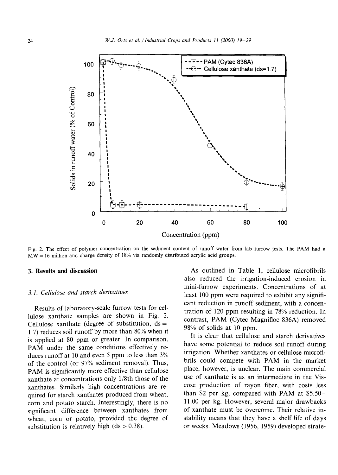

Fig. 2. The effect of polymer concentration on the sediment content of runoff water from lab furrow tests. The PAM had a  $MW = 16$  million and charge density of 18% via randomly distributed acrylic acid groups.

#### 3. **Results and discussion**

#### *3.1. Cellulose and starch derivatives*

Results of laboratory-scale furrow tests for cellulose xanthate samples are shown in Fig. 2. Cellulose xanthate (degree of substitution,  $ds =$ 1.7) reduces soil runoff by more than 80% when it is applied at 80 ppm or greater. In comparison, PAM under the same conditions effectively reduces runoff at 10 and even 5 ppm to less than 3% of the control (or 97% sediment removal). Thus, PAM is significantly more effective than cellulose xanthate at concentrations only 1/8th those of the xanthates. Similarly high concentrations are required for starch xanthates produced from wheat, corn and potato starch. Interestingly, there is no significant difference between xanthates from wheat, corn or potato, provided the degree of substitution is relatively high  $(ds > 0.38)$ .

As outlined in Table 1, cellulose microfibrils also reduced the irrigation-induced erosion in mini-furrow experiments. Concentrations of at least 100 ppm were required to exhibit any significant reduction in runoff sediment, with a concentration of 120 ppm resulting in 78% reduction. In contrast, PAM (Cytec Magnifioc 836A) removed 98% of solids at 10 ppm.

It is clear that cellulose and starch derivatives have some potential to reduce soil runoff during irrigation. Whether xanthates or cellulose microfibrils could compete with PAM in the market place, however, is unclear. The main commercial use of xanthate is as an intermediate in the Viscose production of rayon fiber, with costs less than \$2 per kg, compared with PAM at \$5.50- 11.00 per kg. However, several major drawbacks of xanthate must be overcome. Their relative instability means that they have a shelf life of days or weeks. Meadows (1956, 1959) developed strate-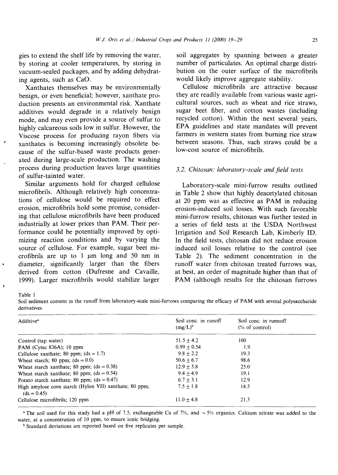gies to extend the shelf life by removing the water, by storing at cooler temperatures, by storing in vacuum-sealed packages, and by adding dehydrating agents, such as CaO.

Xanthates themselves may be environmentally benign, or even beneficial; however, xanthate production presents an environmental risk. Xanthate additives would degrade in a relatively benign mode, and may even provide a source of sulfur to highly calcareous soils low in sulfur. However, the Viscose process for producing rayon fibers via xanthates is becoming increasingly obsolete because of the sulfur-based waste products generated during large-scale production. The washing process during production leaves large quantities of sulfur-tainted water.

Similar arguments hold for charged cellulose microfibrils. Although relatively high concentrations of cellulose would be required to effect erosion, microfibrils hold some promise, considering that cellulose microfibrils have been produced industrially at lower prices than PAM. Their performance could be potentially improved by optimizing reaction conditions and by varying the source of cellulose. For example, sugar beet microfibrils are up to  $1 \mu m$  long and 50 nm in diameter, significantly larger than the fibers derived from cotton (Dufresne and Cavaille, 1999). Larger microfibrils would stabilize larger

soil aggregates by spanning between a greater number of particulates. An optimal charge distribution on the outer surface of the microfibrils would likely improve aggregate stability.

Cellulose microfibrils are attractive because they are readily available from various waste agricultural sources, such as wheat and rice straws, sugar beet fiber, and cotton wastes (including recycled cotton). Within the next several years, EPA guidelines and state mandates will prevent farmers in western states from burning rice straw between seasons. Thus, such straws could be a low-cost source of microfibrils.

## *3.2. Chitosan: laboratory-scale and field tests*

Laboratory-scale mini-furrow results outlined in Table 2 show that highly deacetylated chitosan at 20 ppm was as effective as PAM in reducing erosion-induced soil losses. With such favorable mini-furrow results, chitosan was further tested in a series of field tests at the USDA Northwest Irrigation and Soil Research Lab, Kimberly ID. In the field tests, chitosan did not reduce erosion induced soil losses relative to the control (see Table 2). The sediment concentration in the runoff water from chitosan treated furrows was, at best, an order of magnitude higher than that of PAM (although results for the chitosan furrows

Table 1

 $\ddot{\phantom{a}}$ 

Soil sediment content in the runoff from laboratory-scale mini-furrows comparing the efficacy of PAM with several polysaccharide derivatives

| <b>Additive</b> <sup>a</sup>                                            | Soil conc. in runoff<br>$(mg/L)^b$ | Soil conc. in runnoff<br>$\frac{1}{2}$ of control) |  |
|-------------------------------------------------------------------------|------------------------------------|----------------------------------------------------|--|
| Control (tap water)                                                     | $51.5 + 4.2$                       | 100                                                |  |
| PAM (Cytec 836A); 10 ppm                                                | $0.99 + 0.54$                      | 1.9                                                |  |
| Cellulose xanthate; 80 ppm; $(ds = 1.7)$                                | $9.8 + 2.2$                        | 19.3                                               |  |
| Wheat starch; 80 ppm; $(ds = 0.0)$                                      | $50.6 + 6.7$                       | 98.6                                               |  |
| Wheat starch xanthate; 80 ppm; $(ds = 0.38)$                            | $12.9 + 5.8$                       | 25.0                                               |  |
| Wheat starch xanthate; 80 ppm; $(ds = 0.54)$                            | $9.4 + 4.9$                        | 19.1                                               |  |
| Potato starch xanthate; 80 ppm; $(ds = 0.47)$                           | $6.7 + 3.1$                        | 12.9                                               |  |
| High amylose corn starch (Hylon VII) xanthate; 80 ppm;<br>$(ds = 0.45)$ | $7.5 + 1.8$                        | 14.5                                               |  |
| Cellulose microfibrils; 120 ppm                                         | $11.0 + 4.8$                       | 21.3                                               |  |

<sup>a</sup> The soil used for this study had a pH of 7.5, exchangeable Ca of 7%, and  $\sim$  5% organics. Calcium nitrate was added to the water, at a concentration of 10 ppm, to ensure ionic bridging.

b Standard deviations are reported based on five replicates per sample.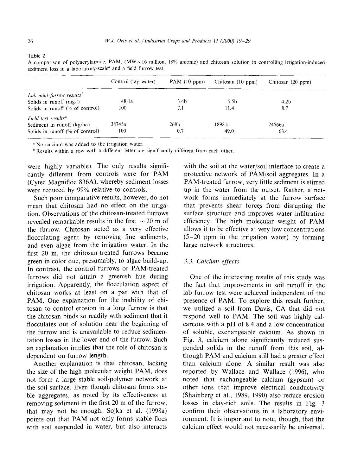Table 2

A comparison of polyacrylamide, PAM,  $(MW \sim 16$  million, 18% anionic) and chitosan solution in controlling irrigation-induced sediment loss in a laboratory-scale" and a field furrow test

|                                      | Control (tap water) | PAM(10 ppm)      | Chitosan (10 ppm) | Chitosan (20 ppm) |
|--------------------------------------|---------------------|------------------|-------------------|-------------------|
| Lab mini-furrow results <sup>"</sup> |                     |                  |                   |                   |
| Solids in runoff $(mg/l)$            | 48.1a               | 3.4 <sub>b</sub> | .55b              | 4.2 <sub>b</sub>  |
| Solids in runoff $(\%$ of control)   | 100.                | 7.1              | 11.4              | 8.7               |
| Field test results <sup>b</sup>      |                     |                  |                   |                   |
| Sediment in runoff $(kg/ha)$         | 38745a              | 268 <sub>b</sub> | 18981a            | 24566a            |
| Solids in runoff $(\%$ of control)   | 100                 | 0.7              | 49.0              | 63.4              |

<sup>a</sup> No calcium was added to the irrigation water.

**P** Results within a row with a different letter are significantly different from each other.

were highly variable). The only results significantly different from controls were for PAM (Cytec Magnifloc 836A), whereby sediment losses were reduced by 99% relative to controls.

Such poor comparative results, however, do not mean that chitosan had no effect on the irrigation. Observations of the chitosan-treated furrows revealed remarkable results in the first  $\sim$  20 m of the furrow. Chitosan acted as a very effective flocculating agent by removing fine sediments, and even algae from the irrigation water. In the first 20 m, the chitosan-treated furrows became green in color due, presumably, to algae build-up. In contrast, the control furrows or PAM-treated furrows did not attain a greenish hue during irrigation. Apparently, the flocculation aspect of chitosan works at least on a par with that of PAM. One explanation for the inability of chitosan to control erosion in a long furrow is that the chitosan binds so readily with sediment that it flocculates out of solution near the beginning of the furrow and is unavailable to reduce sedimentation losses in the lower end of the furrow. Such an explanation implies that the role of chitosan is dependent on furrow length.

Another explanation is that chitosan, lacking the size of the high molecular weight PAM, does not form a large stable soil/polymer network at the soil surface. Even though chitosan forms stable aggregates, as noted by its effectiveness at removing sediment in the first 20 m of the furrow, that may not be enough. Sojka et al. (1998a) points out that PAM not only forms stable flocs with soil suspended in water, but also interacts

with the soil at the water/soil interface to create a protective network of PAM/soil aggregates. In a PAM-treated furrow, very little sediment is stirred up in the water from the outset. Rather, a network forms immediately at the furrow surface that prevents shear forces from disrupting the surface structure and improves water infiltration efficiency. The high molecular weight of PAM allows it to be effective at very low concentrations (5-20 ppm in the irrigation water) by forming large network structures.

### *3.3. Calcium effects*

One of the interesting results of this study was the fact that improvements in soil runoff in the lab furrow test were achieved independent of the presence of PAM. To explore this result further, we utilized a soil from Davis, CA that did not respond well to PAM. The soil was highly calcareous with a pH of 8.4 and a low concentration of soluble, exchangeable calcium. As shown in Fig. 3, calcium alone significantly reduced suspended solids in the runoff from this soil, although PAM and calcium still had a greater effect than calcium alone. A similar result was also reported by Wallace and Wallace (1996), who noted that exchangeable calcium (gypsum) or other ions that improve electrical conductivity (Shainberg et al., 1989, 1990) also reduce erosion losses in clay-rich soils. The results in Fig. 3 confirm their observations in a laboratory environment. It is important to note, though, that the calcium effect would not necessarily be universal.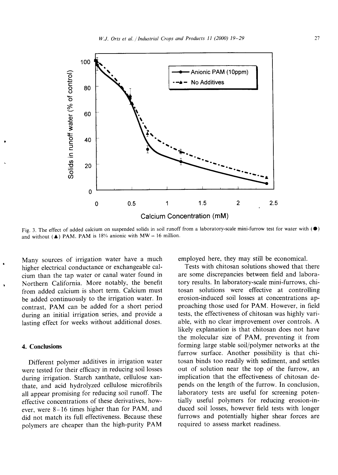

Fig. 3. The effect of added calcium on suspended solids in soil runoff from a laboratory-scale mini-furrow test for water with ( $\bullet$ ) and without ( $\triangle$ ) PAM. PAM is 18% anionic with MW = 16 million.

Many sources of irrigation water have a much higher electrical conductance or exchangeable calcium than the tap water or canal water found in Northern California. More notably, the benefit from added calcium is short term. Calcium must be added continuously to the irrigation water. In contrast, PAM can be added for a short period during an initial irrigation series, and provide a lasting effect for weeks without additional doses.

## **4. Conclusions**

Different polymer additives in irrigation water were tested for their efficacy in reducing soil losses during irrigation. Starch xanthate, cellulose xanthate, and acid hydrolyzed cellulose microfibrils all appear promising for reducing soil runoff. The effective concentrations of these derivatives, however, were 8-16 times higher than for PAM, and did not match its full effectiveness. Because these polymers are cheaper than the high-purity PAM

employed here, they may still be economical.

Tests with chitosan solutions showed that there are some discrepancies between field and laboratory results. In laboratory-scale mini-furrows, chitosan solutions were effective at controlling erosion-induced soil losses at concentrations approaching those used for PAM. However, in field tests, the effectiveness of chitosan was highly variable, with no clear improvement over controls. A likely explanation is that chitosan does not have the molecular size of PAM, preventing it from forming large stable soil/polymer networks at the furrow surface. Another possibility is that chitosan binds too readily with sediment, and settles out of solution near the top of the furrow, an implication that the effectiveness of chitosan depends on the length of the furrow. In conclusion, laboratory tests are useful for screening potentially useful polymers for reducing erosion-induced soil losses, however field tests with longer furrows and potentially higher shear forces are required to assess market readiness.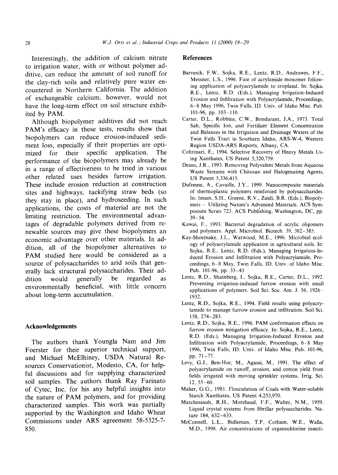Interestingly, the addition of calcium nitrate to irrigation water, with or without polymer additive, can reduce the amount of soil runoff for the clay-rich soils and relatively pure water encountered in Northern California. The addition of exchangeable calcium, however, would not have the long-term effect on soil structure exhibited by PAM.

Although biopolymer additives did not reach PAM's efficacy in these tests, results show that biopolymers can reduce erosion-induced sediment loss, especially if their properties are optimized for their specific application. The performance of the biopolymers may already be in a range of effectiveness to be tried in various other related uses besides furrow irrigation. These include erosion reduction at construction sites and highways, tackifying straw beds (so they stay in place), and hydroseeding. In such applications, the costs of material are not the limiting restriction. The environmental advantages of degradable polymers derived from renewable sources may give these biopolymers an economic advantage over other materials. In addition, all of the biopolymer alternatives to PAM studied here would be considered as a source of polysaccharides to arid soils that generally lack structural polysaccharides. Their addition would generally be regarded as environmentally beneficial, with little concern about long-term accumulation.

#### **Acknowledgements**

The authors thank Youngla Nam and Jim Foerster for their superior technical support, and Michael McElhiney, USDA Natural Resources Conservationist, Modesto, CA, for helpful discussions and for supplying characterized soil samples. The authors thank Ray Farinato of Cytec, Inc. for his any helpful insights into the nature of PAM polymers, and for providing characterized samples. This work was partially supported by the Washington and Idaho Wheat Commissions under ARS agreement 58-5325-7- 850.

#### **References**

- Barvenik, F.W.. Sojka, R.E., Lentz. R.D., Andrawes, F.F., Messner, L.S., 1996. Fate of acrylamide monomer following application of polyacrylamide to cropland. In: Sojka, R.E., Lentz, R.D. (Eds.), Managing Irrigation-Induced Erosion and Infiltration with Polyacrylamide, Proceedings, 6-8 May 1996, Twin Falls, ID. Univ. of Idaho Misc. Pub. 101-96, pp. 103-110.
- Carter, D.L., Robbins, C.W., Bondurant, J.A., 1973. Total Salt, Specific Ion, and Fertilizer Element Concentration and Balances in the Irrigation and Drainage Waters of the Twin Falls Tract in Southern Idaho, ARS-W-4, Western Region USDA-ARS Reports, Albany, CA.
- Coltrinari, E., 1994. Selective Recovery of Heavy Metals Using Xanthates, US Patent 5,320,759.
- Deans, J.R., 1993. Removing Polyvalent Metals from Aqueous Waste Streams with Chitosan and Halogenating Agents, US Patent 5,336,415.
- Dufresne, A., Cavaille, J.Y., 1999. Nanocomposite materials of thermoplastic polymers reinforced by polysaccharides. In: Imam, S.H., Greene, R.V., Zaidi. B.A. (Eds.), Biopolymers – Utilizing Nature's Advanced Materials. ACS Symposium Series 723. ACS Publishing, Washington, DC, pp. 39-54.
- Kawai, F., 1993. Bacterial degradation of acrylic oligomers and polymers. Appl. Microbiol. Biotech. 39, 382-385.
- Kay-Shoemake, J.L., Watwood, M.E., 1996. Microbial ecology of polyacrylamide application in agricultural soils. In: Sojka, R.E., Lentz, R.D. (Eds.), Managing Irrigation-Induced Erosion and Infiltration with Polyacrylamide, Proceedings, 6-8 May, Twin Falls, ID. Univ. of Idaho Misc. Pub. 101-96, pp. 33-41
- Lentz, R.D., Shainberg, 1., Sojka, R.E., Carter, D.L., 1992. Preventing irrigation-induced furrow erosion with small applications of polymers. Soil Sci. Soc. Am. J. 56, 1926- 1932.
- Lentz, R.D., Sojka, R.E., 1994. Field results using polyacrylamide to manage furrow erosion and infiltration. Soil Sci. 158, 274-283.
- Lentz, R.D., Sojka, R.E., 1996. PAM conformation effects on furrow erosion mitigation efficacy. In: Sojka, R.E., Lentz, R.D. (Eds.), Managing Irrigation-Induced Erosion and Infiltration with Polyacrylamide, Proceedings, 6-8 May 1996, Twin Falls, ID. Univ. of Idaho Misc. Pub. 101-96, pp. 71-77.
- Levy, G.J., Ben-Hur, M., Agassi, M., 1991. The effect of polyacrylamide on runoff, erosion, and cotton yield from fields irrigated with moving sprinkler systems. Irrig. Sci. 12, 55-60.
- Maher, G.G., 1981. Flocculation of Coals with Water-soluble Starch Xanthates, US Patent 4,253,970.
- Marchessault, R.H., Morehead, F.F., Walter, N.M., 1959. Liquid crystal systems from fibrillar polysaccharides. Nature 184, 632-633.
- McConnell, L.L., Bidleman, T.F, Cotham, W.E., Walla, M.D., 1998. Air concentrations of organochlorine insecti-